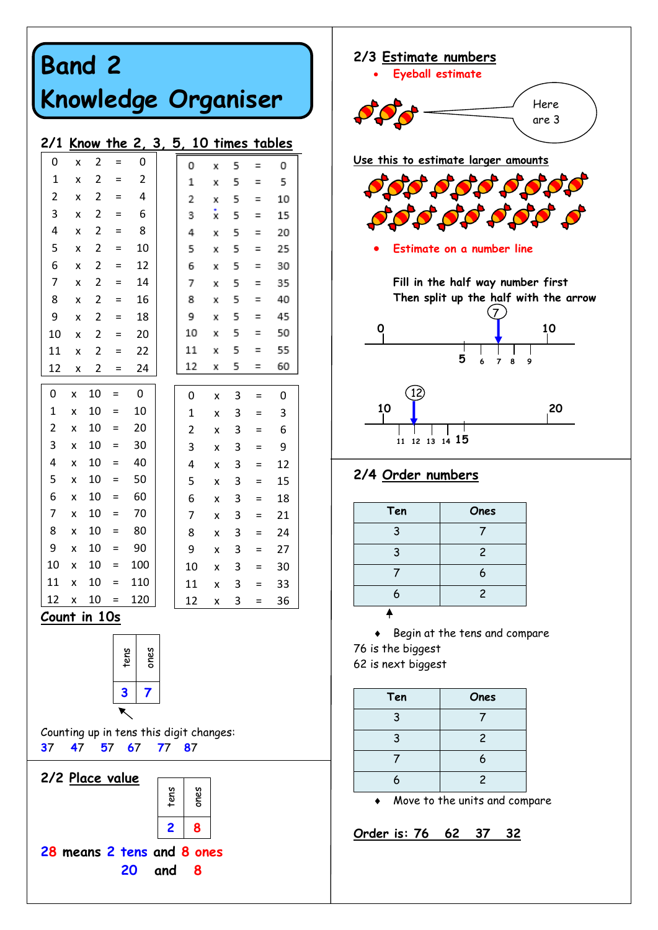# **Band 2 Knowledge Organiser**

#### **2/1 Know the 2, 3, 5, 10 times tables**

| 0                                                   | X  | 2                       | $=$ | 0    |  | 0           | x | 5 | Ξ   | 0  |
|-----------------------------------------------------|----|-------------------------|-----|------|--|-------------|---|---|-----|----|
| 1                                                   | X  | 2                       | $=$ | 2    |  | 1           | X | 5 | Ξ   | 5  |
| 2                                                   | X  | 2                       | $=$ | 4    |  | 2           | x | 5 | Ξ   | 10 |
| 3                                                   | X  | 2                       | $=$ | 6    |  | 3           | x | 5 | Ξ   | 15 |
| 4                                                   | X  | 2                       | Ξ   | 8    |  | 4           | x | 5 | Ξ   | 20 |
| 5                                                   | X  | 2                       | $=$ | 10   |  | 5           | x | 5 | Ξ   | 25 |
| 6                                                   | X  | 2                       | Ξ   | 12   |  | 6           | Х | 5 | Ξ   | 30 |
| 7                                                   | X  | 2                       | Ξ   | 14   |  | 7           | X | 5 | Ξ   | 35 |
| 8                                                   | X  | 2                       | $=$ | 16   |  | 8           | x | 5 | Ξ   | 40 |
| 9                                                   | X  | $\overline{\mathbf{c}}$ | Ξ   | 18   |  | 9           | x | 5 | Ξ   | 45 |
| 10                                                  | X  | 2                       | $=$ | 20   |  | 10          | x | 5 | Ξ   | 50 |
| 11                                                  | X  | 2                       | $=$ | 22   |  | 11          | x | 5 | Ξ   | 55 |
| 12                                                  | X  | 2                       | $=$ | 24   |  | 12          | X | 5 | Ξ   | 60 |
| 0                                                   | X  | 10                      | $=$ | 0    |  | 0           | X | 3 | $=$ | 0  |
| 1                                                   | X  | 10                      | $=$ | 10   |  | $\mathbf 1$ | X | 3 | $=$ | 3  |
| 2                                                   | X  | 10                      | $=$ | 20   |  | 2           | X | 3 | $=$ | 6  |
| 3                                                   | X  | 10                      | $=$ | 30   |  | 3           | X | 3 | $=$ | 9  |
| 4                                                   | X  | 10                      | $=$ | 40   |  | 4           | X | 3 | Ξ   | 12 |
| 5                                                   | X  | 10                      | $=$ | 50   |  | 5           | X | 3 | Ξ   | 15 |
| 6                                                   | X  | 10                      | $=$ | 60   |  | 6           | X | 3 | $=$ | 18 |
| 7                                                   | X  | 10                      | $=$ | 70   |  | 7           | X | 3 | $=$ | 21 |
| 8                                                   | X  | 10                      | $=$ | 80   |  | 8           | X | 3 | $=$ | 24 |
| 9                                                   | X  | 10                      | $=$ | 90   |  | 9           | X | 3 | Ξ   | 27 |
| 10                                                  | X  | 10                      | $=$ | 100  |  | 10          | X | 3 | $=$ | 30 |
| 11                                                  | X  | 10                      | $=$ | 110  |  | 11          | x | 3 | =   | 33 |
| 12                                                  | X  | 10                      | $=$ | 120  |  | 12          | X | 3 | $=$ | 36 |
| <u>Count in 10s</u>                                 |    |                         |     |      |  |             |   |   |     |    |
|                                                     |    |                         |     |      |  |             |   |   |     |    |
|                                                     |    |                         |     | ones |  |             |   |   |     |    |
| sus.                                                |    |                         |     |      |  |             |   |   |     |    |
|                                                     |    |                         | 3   | 7    |  |             |   |   |     |    |
|                                                     |    |                         |     |      |  |             |   |   |     |    |
|                                                     |    |                         |     |      |  |             |   |   |     |    |
| Counting up in tens this digit changes:<br>57 67 77 |    |                         |     |      |  |             |   |   |     |    |
| 37                                                  | 47 |                         |     |      |  | 87          |   |   |     |    |
| 2/2 Place value                                     |    |                         |     |      |  |             |   |   |     |    |





#### **2/4 Order numbers**

| Ten | Ones           |
|-----|----------------|
| 3   |                |
| 3   | $\overline{c}$ |
|     | 6              |
| 6   | $\overline{c}$ |
|     |                |

 Begin at the tens and compare 76 is the biggest 62 is next biggest

| Ten | Ones           |
|-----|----------------|
| 3   |                |
| 3   | $\overline{c}$ |
|     | 6              |
| 6   | $\mathcal{P}$  |

Move to the units and compare

**Order is: 76 62 37 32**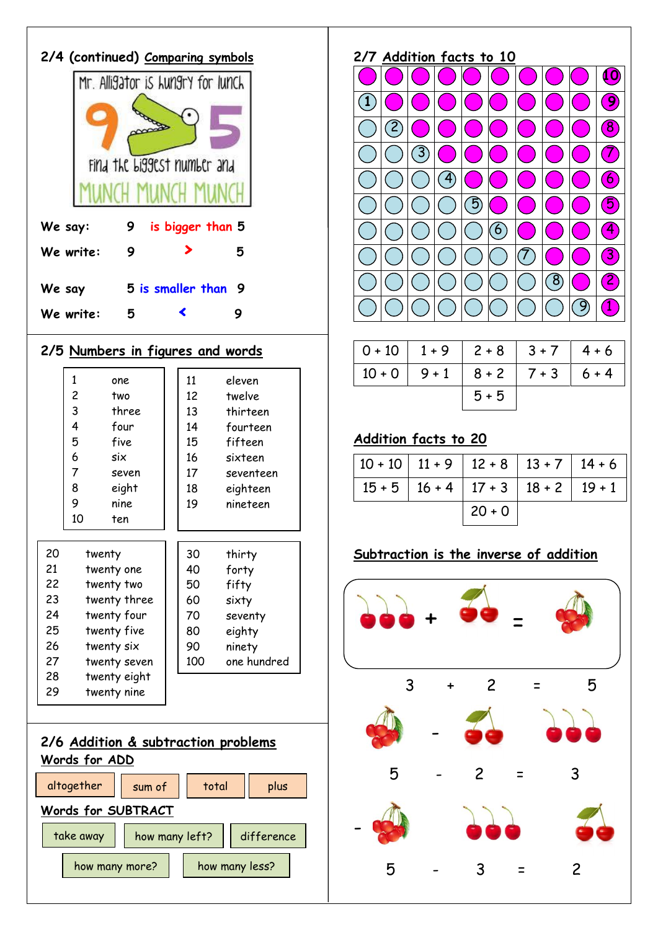| 2/4 (continued) Comparing symbols |   |                                   |   |  |  |
|-----------------------------------|---|-----------------------------------|---|--|--|
|                                   |   | Mr. Alligator is Lungry for lunch |   |  |  |
|                                   |   |                                   |   |  |  |
|                                   |   | Find the Liggest number and       |   |  |  |
|                                   |   |                                   |   |  |  |
| We say:                           | 9 | is bigger than 5                  |   |  |  |
| We write:                         | 9 |                                   | 5 |  |  |
| We say                            |   | 5 is smaller than                 | 9 |  |  |
| We write:                         | 5 |                                   | 9 |  |  |
|                                   |   |                                   |   |  |  |

## **2/5 Numbers in figures and words**

|    | $\mathbf{1}$ | one          | 11  | eleven      |
|----|--------------|--------------|-----|-------------|
|    | 2            | two          | 12  | twelve      |
|    | 3            | three        | 13  | thirteen    |
|    | 4            | four         | 14  | fourteen    |
|    | 5            | five         | 15  | fifteen     |
|    | 6            | six          | 16  | sixteen     |
|    | 7            | seven        | 17  | seventeen   |
|    | 8            | eight        | 18  | eighteen    |
|    | 9            | nine         | 19  | nineteen    |
|    | 10           | ten          |     |             |
|    |              |              |     |             |
| 20 | twenty       |              | 30  | thirty      |
| 21 |              | twenty one   | 40  | forty       |
| 22 |              | twenty two   | 50  | fifty       |
| 23 |              | twenty three | 60  | sixty       |
| 24 |              | twenty four  | 70  | seventy     |
| 25 |              | twenty five  | 80  | eighty      |
| 26 | twenty six   |              | 90  | ninety      |
| 27 | twenty seven |              | 100 | one hundred |
| 28 | twenty eight |              |     |             |
| 29 |              | twenty nine  |     |             |
|    |              |              |     |             |



## **2/7 Addition facts to 10**



|  |         | $0+10$   1+9   2+8   3+7       | $4 + 6$ |
|--|---------|--------------------------------|---------|
|  |         | $10+0$ 9 + 1 8 + 2 7 + 3 6 + 4 |         |
|  | $5 + 5$ |                                |         |

# **Addition facts to 20**

| $10+10$ 11 + 9 12 + 8 13 + 7 14 + 6 |                                            |  |
|-------------------------------------|--------------------------------------------|--|
|                                     | $15+5$   16 + 4   17 + 3   18 + 2   19 + 1 |  |
|                                     | $20 + 0$                                   |  |

# **Subtraction is the inverse of addition**

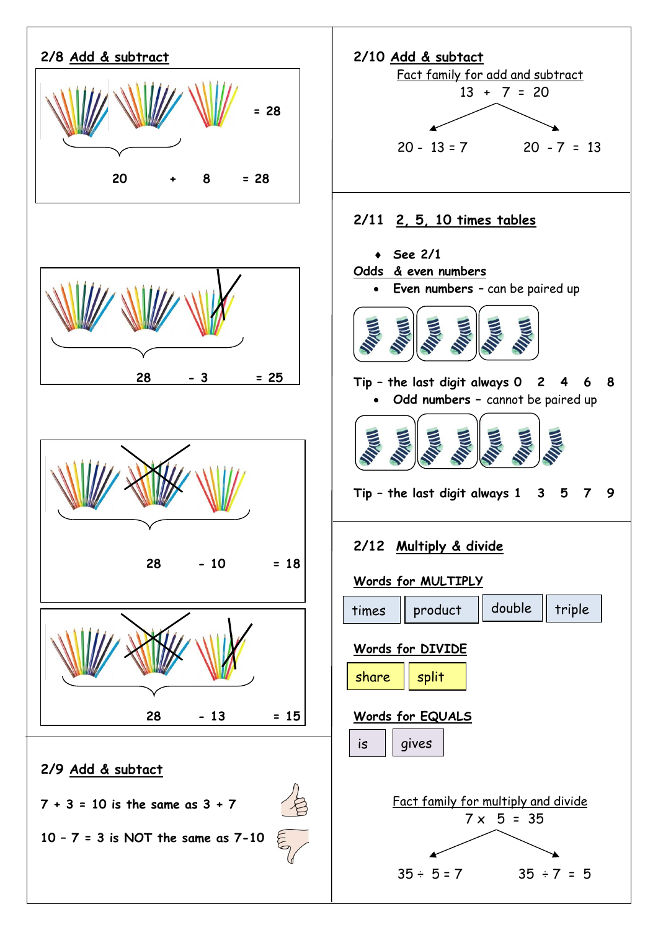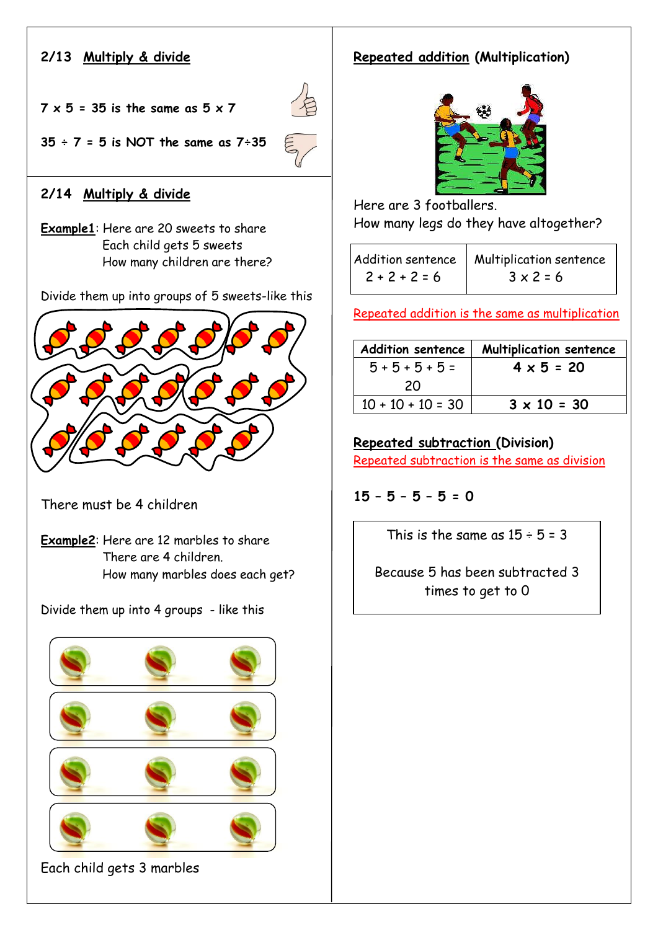## **2/13 Multiply & divide**

**7 x 5 = 35 is the same as 5 x 7** 



**35 ÷ 7 = 5 is NOT the same as 7÷35** 

## **2/14 Multiply & divide**

**Example1**: Here are 20 sweets to share Each child gets 5 sweets How many children are there?

Divide them up into groups of 5 sweets-like this



There must be 4 children

**Example2**: Here are 12 marbles to share There are 4 children. How many marbles does each get?

Divide them up into 4 groups - like this





**Repeated addition (Multiplication)**

Here are 3 footballers. How many legs do they have altogether?

|                 | Addition sentence   Multiplication sentence |
|-----------------|---------------------------------------------|
| $2 + 2 + 2 = 6$ | $3 \times 2 = 6$                            |

Repeated addition is the same as multiplication

| <b>Addition sentence</b> | <b>Multiplication sentence</b> |
|--------------------------|--------------------------------|
| $5 + 5 + 5 + 5 =$        | $4 \times 5 = 20$              |
| 20                       |                                |
| $10 + 10 + 10 = 30$      | $3 \times 10 = 30$             |
|                          |                                |

**Repeated subtraction (Division)** 

Repeated subtraction is the same as division

**15 – 5 – 5 – 5 = 0**

This is the same as  $15 \div 5 = 3$ 

Because 5 has been subtracted 3 times to get to 0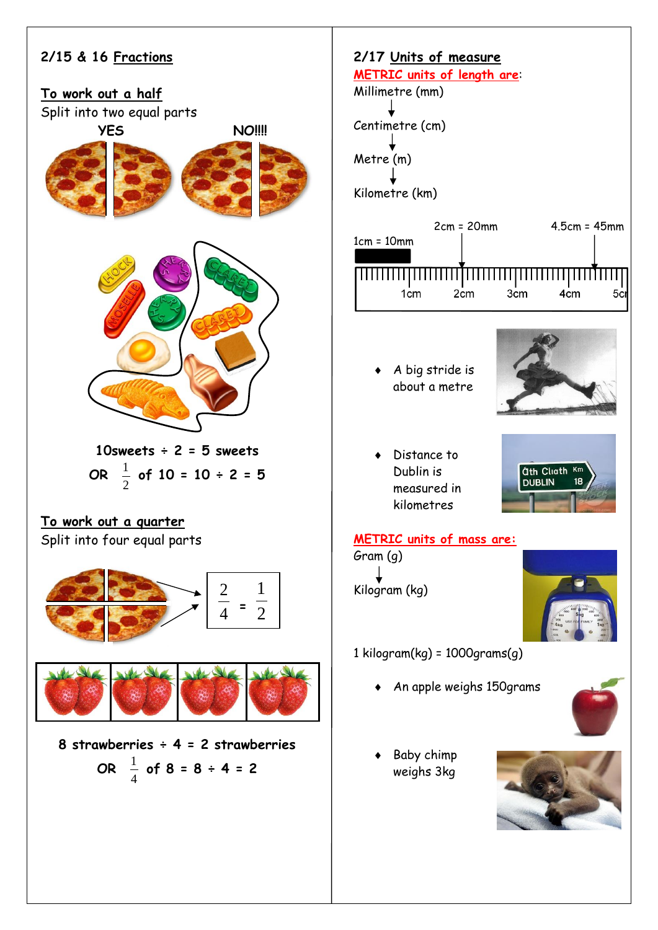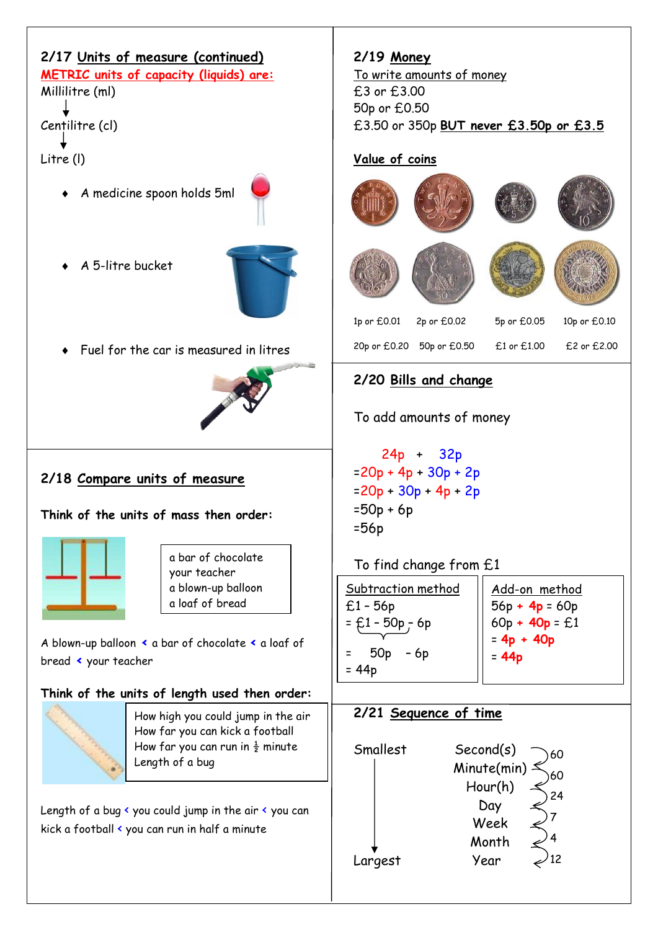| 2/17 Units of measure (continued)<br><b>METRIC units of capacity (liquids) are:</b><br>Millilitre (ml)  | 2/19 Money<br><u>To write amounts of money</u><br>£3 or £3.00<br>50p or £0.50            |  |  |  |
|---------------------------------------------------------------------------------------------------------|------------------------------------------------------------------------------------------|--|--|--|
| Centilitre (cl)                                                                                         | £3.50 or 350p <b>BUT never £3.50p or £3.5</b>                                            |  |  |  |
| Litre (I)                                                                                               | Value of coins                                                                           |  |  |  |
| A medicine spoon holds 5ml                                                                              |                                                                                          |  |  |  |
| A 5-litre bucket                                                                                        |                                                                                          |  |  |  |
|                                                                                                         | 1p or £0.01<br>2p or £0.02<br>5p or £0.05<br>10p or £0.10                                |  |  |  |
| Fuel for the car is measured in litres                                                                  | 20p or £0.20 50p or £0.50<br>£1 or £1.00<br>£2 or £2.00                                  |  |  |  |
|                                                                                                         | 2/20 Bills and change                                                                    |  |  |  |
|                                                                                                         | To add amounts of money                                                                  |  |  |  |
| 2/18 Compare units of measure<br>Think of the units of mass then order:                                 | $24p + 32p$<br>$=20p + 4p + 30p + 2p$<br>$=20p + 30p + 4p + 2p$<br>$=50p + 6p$<br>$=56p$ |  |  |  |
| a bar of chocolate                                                                                      | To find change from £1                                                                   |  |  |  |
| your teacher<br>a blown-up balloon<br>a loaf of bread                                                   | Subtraction method<br>Add-on method<br>$£1 - 56p$<br>$56p + 4p = 60p$                    |  |  |  |
| A blown-up balloon < a bar of chocolate < a loaf of                                                     | $60p + 40p = £1$<br>$=$ £1 - 50p - 6p<br>$= 4p + 40p$                                    |  |  |  |
| bread < your teacher                                                                                    | 50 <sub>p</sub><br>- 6p<br>Ξ<br>$= 44p$<br>$= 44p$                                       |  |  |  |
| Think of the units of length used then order:                                                           |                                                                                          |  |  |  |
| How high you could jump in the air                                                                      | 2/21 Sequence of time                                                                    |  |  |  |
| How far you can kick a football<br>How far you can run in $\frac{1}{2}$ minute<br>Length of a bug       | Smallest<br>Second(s)<br>60<br>Minute(min)<br>60                                         |  |  |  |
| Length of a bug < you could jump in the air < you can<br>kick a football < you can run in half a minute | Hour(h)<br>24<br>Day<br>Week<br>Month<br>'12<br>Year<br>Largest                          |  |  |  |

 $\overline{\Gamma}$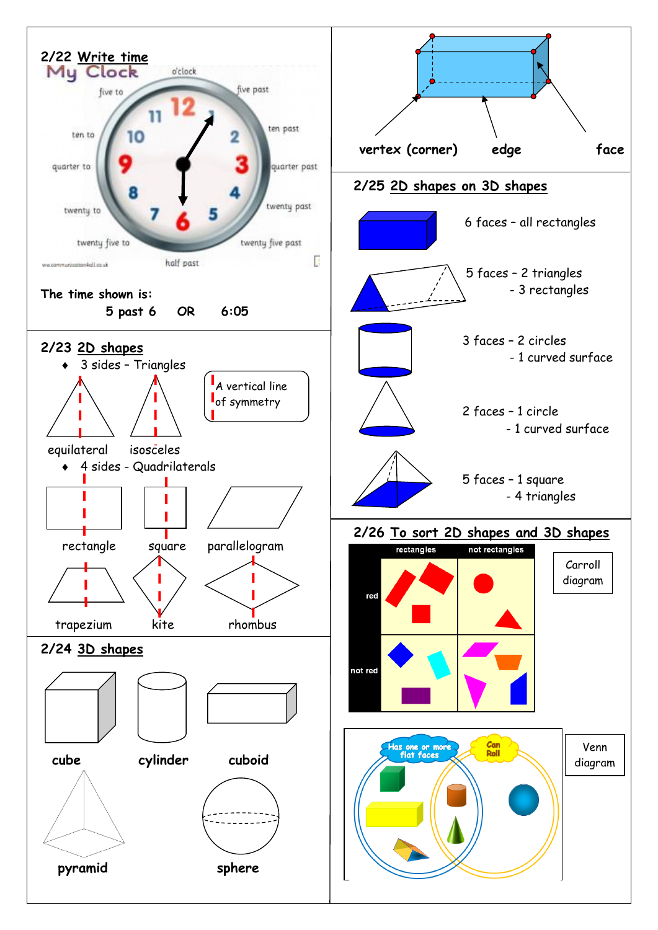